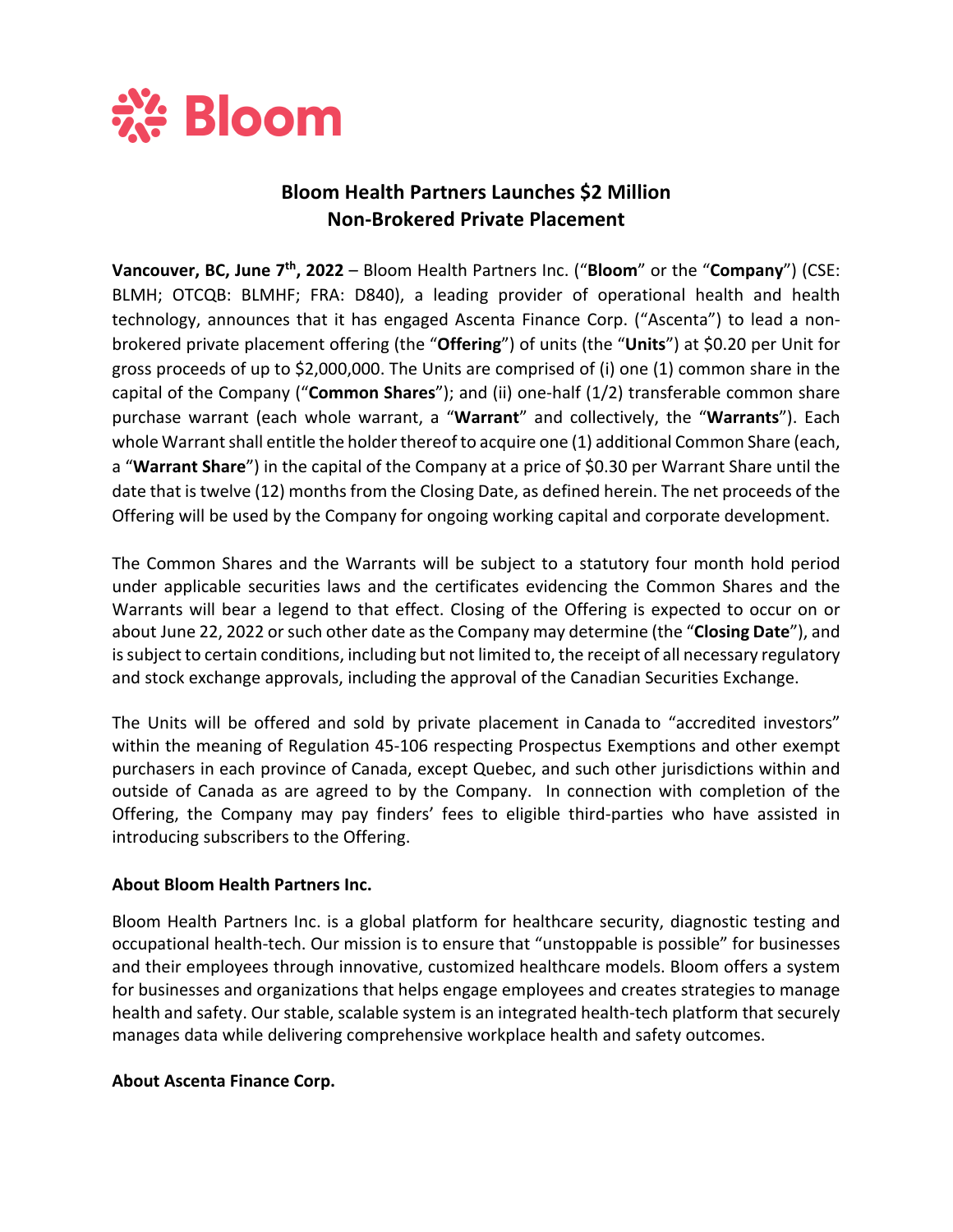

## **Bloom Health Partners Launches \$2 Million Non-Brokered Private Placement**

**Vancouver, BC, June 7th, 2022** – Bloom Health Partners Inc. ("**Bloom**" or the "**Company**") (CSE: BLMH; OTCQB: BLMHF; FRA: D840), a leading provider of operational health and health technology, announces that it has engaged Ascenta Finance Corp. ("Ascenta") to lead a nonbrokered private placement offering (the "**Offering**") of units (the "**Units**") at \$0.20 per Unit for gross proceeds of up to \$2,000,000. The Units are comprised of (i) one (1) common share in the capital of the Company ("**Common Shares**"); and (ii) one-half (1/2) transferable common share purchase warrant (each whole warrant, a "**Warrant**" and collectively, the "**Warrants**"). Each whole Warrant shall entitle the holder thereof to acquire one (1) additional Common Share (each, a "**Warrant Share**") in the capital of the Company at a price of \$0.30 per Warrant Share until the date that is twelve (12) months from the Closing Date, as defined herein. The net proceeds of the Offering will be used by the Company for ongoing working capital and corporate development.

The Common Shares and the Warrants will be subject to a statutory four month hold period under applicable securities laws and the certificates evidencing the Common Shares and the Warrants will bear a legend to that effect. Closing of the Offering is expected to occur on or about June 22, 2022 or such other date as the Company may determine (the "**Closing Date**"), and is subject to certain conditions, including but not limited to, the receipt of all necessary regulatory and stock exchange approvals, including the approval of the Canadian Securities Exchange.

The Units will be offered and sold by private placement in Canada to "accredited investors" within the meaning of Regulation 45-106 respecting Prospectus Exemptions and other exempt purchasers in each province of Canada, except Quebec, and such other jurisdictions within and outside of Canada as are agreed to by the Company. In connection with completion of the Offering, the Company may pay finders' fees to eligible third-parties who have assisted in introducing subscribers to the Offering.

## **About Bloom Health Partners Inc.**

Bloom Health Partners Inc. is a global platform for healthcare security, diagnostic testing and occupational health-tech. Our mission is to ensure that "unstoppable is possible" for businesses and their employees through innovative, customized healthcare models. Bloom offers a system for businesses and organizations that helps engage employees and creates strategies to manage health and safety. Our stable, scalable system is an integrated health-tech platform that securely manages data while delivering comprehensive workplace health and safety outcomes.

## **About Ascenta Finance Corp.**